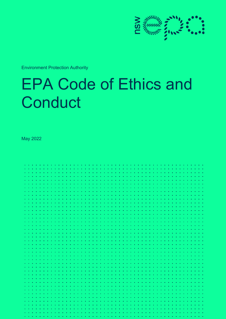

Environment Protection Authority

# EPA Code of Ethics and **Conduct**

May 2022

| $\mathbf{a}$ .<br>$\bullet$<br>$\bullet$<br>٠                     | $\bullet$ |
|-------------------------------------------------------------------|-----------|
| $\bullet$<br>- 6<br>٠<br>$\bullet$<br>$\bullet$<br>٠<br>$\bullet$ | $\bullet$ |
| $\bullet$ .                                                       |           |
|                                                                   | $\bullet$ |
| $\bullet$ .                                                       | $\bullet$ |
| $\bullet$ .                                                       | $\bullet$ |
| $\bullet$ .                                                       |           |
| $\alpha = 0.05$                                                   | $\bullet$ |
| $\bullet$ .                                                       | $\bullet$ |
|                                                                   |           |
| $\bullet$ .                                                       | <b>A</b>  |
| $\bullet$ .                                                       |           |
| $\bullet$ .                                                       |           |
|                                                                   |           |
| $\mathbf{a}=\mathbf{a}$                                           | $\bullet$ |
| $\bullet$ .                                                       | $\bullet$ |
|                                                                   | - 6       |
| $\bullet$ .<br>$\bullet$                                          | $\bullet$ |
| $\bullet$ .                                                       |           |
| $\bullet$ .                                                       |           |
| $\mathbf{a} = \mathbf{a}$                                         | $\bullet$ |
| $\bullet$ .                                                       | $\bullet$ |
| $\bullet$ .                                                       |           |
| $\bullet$ .                                                       | <b>A</b>  |
| $\bullet$ .                                                       |           |
| $\alpha = 0.1$                                                    |           |
| $\sim$ $\sim$                                                     | $\bullet$ |
|                                                                   |           |
| $\bullet$ .                                                       | ۰.        |
| ¥<br>$\bullet$<br>$\bullet$ .<br>$\bullet$                        | - 6       |
| $\bullet$ .                                                       | $\bullet$ |
| $\bullet$ .                                                       |           |
| $\mathbf{a} = \mathbf{a}$                                         | ×.        |
| $\bullet$ .                                                       | $\bullet$ |
|                                                                   |           |
| $\bullet$ .                                                       |           |
| $\bullet$ .                                                       |           |
| $\bullet$ .                                                       |           |
| $\sim$ $\sim$                                                     |           |
|                                                                   |           |
| $\bullet$ .                                                       | $\bullet$ |
|                                                                   |           |
| $\bullet$ .                                                       |           |
| $\bullet$                                                         |           |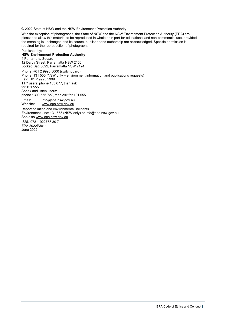© 2022 State of NSW and the NSW Environment Protection Authority

With the exception of photographs, the State of NSW and the NSW Environment Protection Authority (EPA) are pleased to allow this material to be reproduced in whole or in part for educational and non-commercial use, provided the meaning is unchanged and its source, publisher and authorship are acknowledged. Specific permission is required for the reproduction of photographs.

Published by:

#### **NSW Environment Protection Authority**

4 Parramatta Square 12 Darcy Street, Parramatta NSW 2150 Locked Bag 5022, Parramatta NSW 2124 Phone: +61 2 9995 5000 (switchboard) Phone: 131 555 (NSW only – environment information and publications requests) Fax: +61 2 9995 5999 TTY users: phone 133 677, then ask for 131 555 Speak and listen users: phone 1300 555 727, then ask for 131 555 Email: [info@epa.nsw.gov.au](mailto:info@epa.nsw.gov.au)  Website: [www.epa.nsw.gov.au](http://www.epa.nsw.gov.au/) Report pollution and environmental incidents Environment Line: 131 555 (NSW only) or [info@epa.nsw.gov.au](mailto:info@epa.nsw.gov.au) See also [www.epa.nsw.gov.au](http://www.epa.nsw.gov.au/) ISBN 978 1 922778 30 7 EPA 2022P3811 June 2022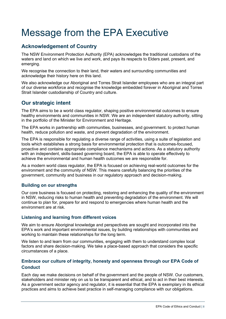### <span id="page-2-0"></span>Message from the EPA Executive

#### <span id="page-2-1"></span>**Acknowledgement of Country**

The NSW Environment Protection Authority (EPA) acknowledges the traditional custodians of the waters and land on which we live and work, and pays its respects to Elders past, present, and emerging.

We recognise the connection to their land, their waters and surrounding communities and acknowledge their history here on this land.

We also acknowledge our Aboriginal and Torres Strait Islander employees who are an integral part of our diverse workforce and recognise the knowledge embedded forever in Aboriginal and Torres Strait Islander custodianship of Country and culture.

#### <span id="page-2-2"></span>**Our strategic intent**

The EPA aims to be a world class regulator, shaping positive environmental outcomes to ensure healthy environments and communities in NSW. We are an independent statutory authority, sitting in the portfolio of the Minister for Environment and Heritage.

The EPA works in partnership with communities, businesses, and government. to protect human health, reduce pollution and waste, and prevent degradation of the environment.

The EPA is responsible for regulating a diverse range of activities, using a suite of legislation and tools which establishes a strong basis for environmental protection that is outcomes-focused, proactive and contains appropriate compliance mechanisms and actions. As a statutory authority with an independent, skills-based governing board, the EPA is able to operate effectively to achieve the environmental and human health outcomes we are responsible for.

As a modern world class regulator, the EPA is focused on achieving real-world outcomes for the environment and the community of NSW. This means carefully balancing the priorities of the government, community and business in our regulatory approach and decision-making.

#### **Building on our strengths**

Our core business is focused on protecting, restoring and enhancing the quality of the environment in NSW, reducing risks to human health and preventing degradation of the environment. We will continue to plan for, prepare for and respond to emergencies where human health and the environment are at risk.

#### **Listening and learning from different voices**

We aim to ensure Aboriginal knowledge and perspectives are sought and incorporated into the EPA's work and important environmental issues, by building relationships with communities and working to maintain these relationships for the long term.

We listen to and learn from our communities, engaging with them to understand complex local factors and share decision-making. We take a place-based approach that considers the specific circumstances of a place.

#### **Embrace our culture of integrity, honesty and openness through our EPA Code of Conduct**

Each day we make decisions on behalf of the government and the people of NSW. Our customers, stakeholders and minister rely on us to be transparent and ethical, and to act in their best interests. As a government sector agency and regulator, it is essential that the EPA is exemplary in its ethical practices and aims to achieve best practice in self-managing compliance with our obligations.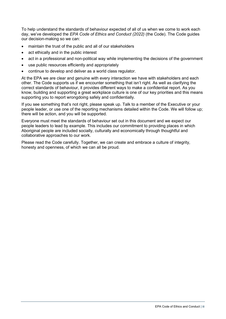To help understand the standards of behaviour expected of all of us when we come to work each day, we've developed the *EPA Code of Ethics and Conduct (2022)* (the Code). The Code guides our decision-making so we can:

- maintain the trust of the public and all of our stakeholders
- act ethically and in the public interest
- act in a professional and non-political way while implementing the decisions of the government
- use public resources efficiently and appropriately
- continue to develop and deliver as a world class regulator.

At the EPA we are clear and genuine with every interaction we have with stakeholders and each other. The Code supports us if we encounter something that isn't right. As well as clarifying the correct standards of behaviour, it provides different ways to make a confidential report. As you know, building and supporting a great workplace culture is one of our key priorities and this means supporting you to report wrongdoing safely and confidentially.

If you see something that's not right, please speak up. Talk to a member of the Executive or your people leader, or use one of the reporting mechanisms detailed within the Code. We will follow up; there will be action, and you will be supported.

Everyone must meet the standards of behaviour set out in this document and we expect our people leaders to lead by example. This includes our commitment to providing places in which Aboriginal people are included socially, culturally and economically through thoughtful and collaborative approaches to our work.

Please read the Code carefully. Together, we can create and embrace a culture of integrity, honesty and openness, of which we can all be proud.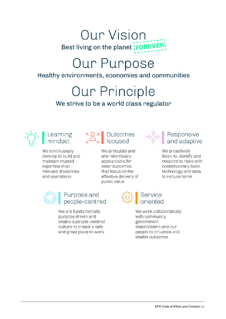## **Our Vision** Best living on the planet FOREVER!

# Our Purpose

#### Healthy environments, economies and communities

**Our Principle** 

### We strive to be a world class regulator

We continuously develop to build and maintain trusted expertise in all relevant disciplines and operations

# Learning  $\begin{matrix} 6 & 0 \\ 0 & 1 \end{matrix}$  Outcomes<br>mindset  $\begin{matrix} 6 & 0 \\ 0 & 1 \end{matrix}$  focused

We articulate and are relentlessly accountable for clear outcomes that focus on the effective delivery of public value



# $\begin{bmatrix} -\frac{1}{2} \\ \frac{1}{2} \\ \frac{1}{2} \end{bmatrix}$  Responsive

We proactively listen to, identify and respond to risks with contemporary tools, technology and data to reduce harm



#### Purpose and people-centred

We are fundamentally purpose driven and enable a people-centred culture to create a safe and great place to work

# Service<br>oriented

We work collaboratively with community, government, stakeholders and our people to influence and enable outcomes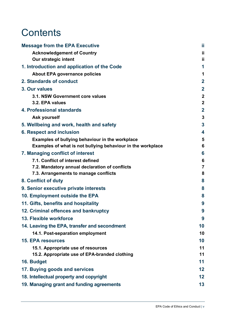### **Contents**

| <b>Message from the EPA Executive</b>                       | ij             |
|-------------------------------------------------------------|----------------|
| <b>Acknowledgement of Country</b>                           | ij             |
| <b>Our strategic intent</b>                                 | ij             |
| 1. Introduction and application of the Code                 | 1              |
| <b>About EPA governance policies</b>                        | 1              |
| 2. Standards of conduct                                     | $\overline{2}$ |
| 3. Our values                                               | $\overline{2}$ |
| 3.1. NSW Government core values                             | $\overline{2}$ |
| 3.2. EPA values                                             | $\overline{2}$ |
| 4. Professional standards                                   | $\overline{2}$ |
| <b>Ask yourself</b>                                         | 3              |
| 5. Wellbeing and work, health and safety                    | 3              |
| <b>6. Respect and inclusion</b>                             | 4              |
| Examples of bullying behaviour in the workplace             | 5              |
| Examples of what is not bullying behaviour in the workplace | 6              |
| 7. Managing conflict of interest                            | 6              |
| 7.1. Conflict of interest defined                           | 6              |
| 7.2. Mandatory annual declaration of conflicts              | 7              |
| 7.3. Arrangements to manage conflicts                       | 8              |
| 8. Conflict of duty                                         | 8              |
| 9. Senior executive private interests                       | 8              |
| 10. Employment outside the EPA                              | 8              |
| 11. Gifts, benefits and hospitality                         | 9              |
| 12. Criminal offences and bankruptcy                        | 9              |
| 13. Flexible workforce                                      | 9              |
| 14. Leaving the EPA, transfer and secondment                | 10             |
| 14.1. Post-separation employment                            | 10             |
| <b>15. EPA resources</b>                                    | 10             |
| 15.1. Appropriate use of resources                          | 11             |
| 15.2. Appropriate use of EPA-branded clothing               | 11             |
| 16. Budget                                                  | 11             |
| 17. Buying goods and services                               | 12             |
| 18. Intellectual property and copyright                     | 12             |
| 19. Managing grant and funding agreements                   | 13             |
|                                                             |                |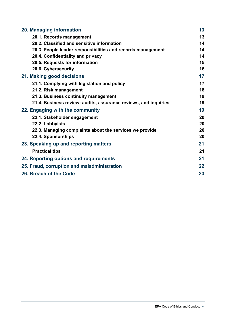| 20. Managing information                                        | 13 |
|-----------------------------------------------------------------|----|
| 20.1. Records management                                        | 13 |
| 20.2. Classified and sensitive information                      | 14 |
| 20.3. People leader responsibilities and records management     | 14 |
| 20.4. Confidentiality and privacy                               | 14 |
| 20.5. Requests for information                                  | 15 |
| 20.6. Cybersecurity                                             | 16 |
| 21. Making good decisions                                       | 17 |
| 21.1. Complying with legislation and policy                     | 17 |
| 21.2. Risk management                                           | 18 |
| 21.3. Business continuity management                            | 19 |
| 21.4. Business review: audits, assurance reviews, and inquiries | 19 |
| 22. Engaging with the community                                 | 19 |
| 22.1. Stakeholder engagement                                    | 20 |
| 22.2. Lobbyists                                                 | 20 |
| 22.3. Managing complaints about the services we provide         | 20 |
| 22.4. Sponsorships                                              | 20 |
| 23. Speaking up and reporting matters                           | 21 |
| <b>Practical tips</b>                                           | 21 |
| 24. Reporting options and requirements                          | 21 |
| 25. Fraud, corruption and maladministration                     | 22 |
| 26. Breach of the Code                                          | 23 |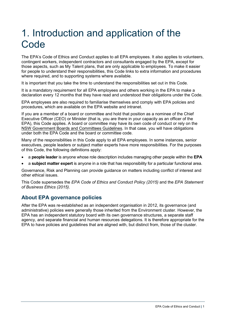### <span id="page-7-0"></span>1. Introduction and application of the **Code**

The EPA's Code of Ethics and Conduct applies to all EPA employees. It also applies to volunteers, contingent workers, independent contractors and consultants engaged by the EPA, except for those aspects, such as My Talent plans, that are only applicable to employees. To make it easier for people to understand their responsibilities, this Code links to extra information and procedures where required, and to supporting systems where available.

It is important that you take the time to understand the responsibilities set out in this Code.

It is a mandatory requirement for all EPA employees and others working in the EPA to make a declaration every 12 months that they have read and understood their obligations under the Code.

EPA employees are also required to familiarise themselves and comply with EPA policies and procedures, which are available on the EPA website and intranet.

If you are a member of a board or committee and hold that position as a nominee of the Chief Executive Officer (CEO) or Minister (that is, you are there in your capacity as an officer of the EPA), this Code applies. A board or committee may have its own code of conduct or rely on the NSW [Government Boards and Committees Guidelines.](https://arp.nsw.gov.au/m2013-06-nsw-government-boards-and-committees-guidelines) In that case, you will have obligations under both the EPA Code and the board or committee code.

Many of the responsibilities in this Code apply to all EPA employees. In some instances, senior executives, people leaders or subject matter experts have more responsibilities. For the purposes of this Code, the following definitions apply:

- a **people leader** is anyone whose role description includes managing other people within the **EPA**
- a **subject matter expert** is anyone in a role that has responsibility for a particular functional area.

Governance, Risk and Planning can provide guidance on matters including conflict of interest and other ethical issues.

This Code supersedes the *EPA Code of Ethics and Conduct Policy (2015)* and the *EPA Statement of Business Ethics (2015)*.

#### <span id="page-7-1"></span>**About EPA governance policies**

After the EPA was re-established as an independent organisation in 2012, its governance (and administrative) policies were generally those inherited from the Environment cluster. However, the EPA has an independent statutory board with its own governance structures, a separate staff agency, and separate financial and human resources delegations. It is therefore appropriate for the EPA to have policies and guidelines that are aligned with, but distinct from, those of the cluster.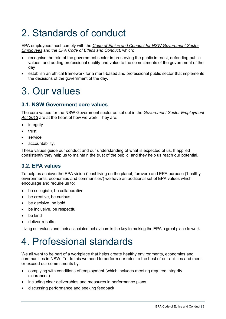### <span id="page-8-0"></span>2. Standards of conduct

EPA employees must comply with the *[Code of Ethics and Conduct for NSW Government Sector](https://www.psc.nsw.gov.au/sites/default/files/2020-10/PSC%20Code%20of%20Ethics%20and%20Conduct.pdf)  [Employees](https://www.psc.nsw.gov.au/sites/default/files/2020-10/PSC%20Code%20of%20Ethics%20and%20Conduct.pdf)* and the *EPA Code of Ethics and Conduct*, which:

- recognise the role of the government sector in preserving the public interest, defending public values, and adding professional quality and value to the commitments of the government of the day
- establish an ethical framework for a merit-based and professional public sector that implements the decisions of the government of the day.

### <span id="page-8-1"></span>3. Our values

#### <span id="page-8-2"></span>**3.1. NSW Government core values**

The core values for the NSW Government sector as set out in the *[Government Sector Employment](https://legislation.nsw.gov.au/view/whole/html/inforce/current/act-2013-040)  Act [2013](https://legislation.nsw.gov.au/view/whole/html/inforce/current/act-2013-040)* are at the heart of how we work. They are:

- **integrity**
- trust
- service
- accountability.

These values guide our conduct and our understanding of what is expected of us. If applied consistently they help us to maintain the trust of the public, and they help us reach our potential.

#### <span id="page-8-3"></span>**3.2. EPA values**

To help us achieve the EPA vision ('best living on the planet, forever') and EPA purpose ('healthy environments, economies and communities') we have an additional set of EPA values which encourage and require us to:

- be collegiate, be collaborative
- be creative, be curious
- be decisive, be bold
- be inclusive, be respectful
- be kind
- deliver results.

Living our values and their associated behaviours is the key to making the EPA a great place to work.

### <span id="page-8-4"></span>4. Professional standards

We all want to be part of a workplace that helps create healthy environments, economies and communities in NSW. To do this we need to perform our roles to the best of our abilities and meet or exceed our commitments by:

- complying with conditions of employment (which includes meeting required integrity clearances)
- including clear deliverables and measures in performance plans
- discussing performance and seeking feedback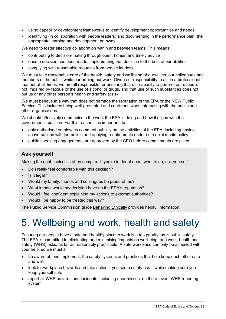- using capability development frameworks to identify development opportunities and needs
- identifying (in collaboration with people leaders) and documenting in the performance plan, the appropriate learning and development pathway.

We need to foster effective collaboration within and between teams. This means:

- contributing to decision-making through open, honest and timely advice
- once a decision has been made, implementing that decision to the best of our abilities
- complying with reasonable requests from people leaders.

We must take reasonable care of the health, safety and wellbeing of ourselves, our colleagues and members of the public while performing our work. Given our responsibility to act in a professional manner at all times, we are all responsible for ensuring that our capacity to perform our duties is not impaired by fatigue or the use of alcohol or drugs, and that use of such substances does not put us or any other person's health and safety at risk.

We must behave in a way that does not damage the reputation of the EPA or the NSW Public Service. This includes being well-presented and courteous when interacting with the public and other organisations.

We should effectively communicate the work the EPA is doing and how it aligns with the government's position. For this reason, it is important that:

- only authorised employees comment publicly on the activities of the EPA, including having conversations with journalists and applying requirements under our social media policy
- <span id="page-9-0"></span>• public speaking engagements are approved by the CEO before commitments are given.

#### **Ask yourself**

Making the right choices is often complex. If you're in doubt about what to do, ask yourself:

- Do I really feel comfortable with this decision?
- Is it legal?
- Would my family, friends and colleagues be proud of me?
- What impact would my decision have on the EPA's reputation?
- Would I feel confident explaining my actions to external authorities?
- Would I be happy to be treated this way?

The Public Service Commission guide [Behaving Ethically](https://www.psc.nsw.gov.au/sites/default/files/2020-10/Behaving%20Ethically%20Guide.pdf) provides helpful information.

### <span id="page-9-1"></span>5. Wellbeing and work, health and safety

Ensuring our people have a safe and healthy place to work is a top priority, as is public safety. The EPA is committed to eliminating and minimising impacts on wellbeing, and work, health and safety (WHS) risks, as far as reasonably practicable. A safe workplace can only be achieved with your help, so we must all:

- be aware of, and implement, the safety systems and practices that help keep each other safe and well
- look for workplace hazards and take action if you see a safety risk while making sure you keep yourself safe
- report all WHS hazards and incidents, including near misses, on the relevant WHS reporting system.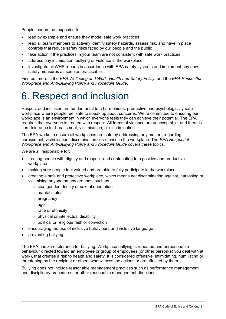People leaders are expected to:

- lead by example and ensure they model safe work practices
- lead all team members to actively identify safety hazards, assess risk, and have in place controls that reduce safety risks faced by our people and the public
- take action if the practices in your team are not consistent with safe work practices
- address any intimidation, bullying or violence in the workplace
- investigate all WHS reports in accordance with EPA safety systems and implement any new safety measures as soon as practicable.

Find out more in the *EPA Wellbeing and Work, Health and Safety Policy*, and the *EPA Respectful Workplace and Anti-Bullying Policy and Procedure Guide*.

### <span id="page-10-0"></span>6. Respect and inclusion

Respect and inclusion are fundamental to a harmonious, productive and psychologically safe workplace where people feel safe to speak up about concerns. We're committed to ensuring our workplace is an environment in which everyone feels they can achieve their potential. The EPA requires that everyone is treated with respect. All forms of violence are unacceptable, and there is zero tolerance for harassment, victimisation, or discrimination.

The EPA works to ensure all workplaces are safe by addressing any matters regarding harassment, victimisation, discrimination or violence in the workplace. The *EPA Respectful Workplace and Anti-Bullying Policy and Procedure Guide* covers these topics.

We are all responsible for:

- treating people with dignity and respect, and contributing to a positive and productive workplace
- making sure people feel valued and are able to fully participate in the workplace
- creating a safe and protective workplace, which means not discriminating against, harassing or victimising anyone on any grounds, such as
	- $\circ$  sex, gender identity or sexual orientation
	- $\circ$  marital status
	- o pregnancy
	- o age
	- $\circ$  race or ethnicity
	- o physical or intellectual disability
	- o political or religious faith or conviction
- encouraging the use of inclusive behaviours and inclusive language
- preventing bullying.

The EPA has zero tolerance for bullying. Workplace bullying is repeated and unreasonable behaviour directed toward an employee or group of employees (or other person(s) you deal with at work), that creates a risk to health and safety. It is considered offensive, intimidating, humiliating or threatening by the recipient or others who witness the actions or are affected by them.

Bullying does not include reasonable management practices such as performance management and disciplinary procedures, or other reasonable management directions.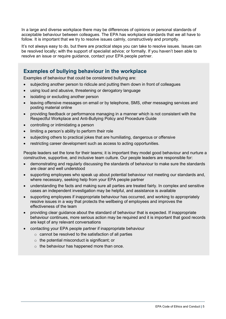In a large and diverse workplace there may be differences of opinions or personal standards of acceptable behaviour between colleagues. The EPA has workplace standards that we all have to follow. It is important that we try to resolve issues calmly, constructively and promptly.

It's not always easy to do, but there are practical steps you can take to resolve issues. Issues can be resolved locally; with the support of specialist advice; or formally. If you haven't been able to resolve an issue or require guidance, contact your EPA people partner.

#### <span id="page-11-0"></span>**Examples of bullying behaviour in the workplace**

Examples of behaviour that could be considered bullying are:

- subjecting another person to ridicule and putting them down in front of colleagues
- using loud and abusive, threatening or derogatory language
- isolating or excluding another person
- leaving offensive messages on email or by telephone, SMS, other messaging services and posting material online
- providing feedback or performance managing in a manner which is not consistent with the Respectful Workplace and Anti-Bullying Policy and Procedure Guide
- controlling or intimidating a person
- limiting a person's ability to perform their role
- subjecting others to practical jokes that are humiliating, dangerous or offensive
- restricting career development such as access to acting opportunities.

People leaders set the tone for their teams; it is important they model good behaviour and nurture a constructive, supportive, and inclusive team culture. Our people leaders are responsible for:

- demonstrating and regularly discussing the standards of behaviour to make sure the standards are clear and well understood
- supporting employees who speak up about potential behaviour not meeting our standards and, where necessary, seeking help from your EPA people partner
- understanding the facts and making sure all parties are treated fairly. In complex and sensitive cases an independent investigation may be helpful, and assistance is available
- supporting employees if inappropriate behaviour has occurred, and working to appropriately resolve issues in a way that protects the wellbeing of employees and improves the effectiveness of the team
- providing clear guidance about the standard of behaviour that is expected. If inappropriate behaviour continues, more serious action may be required and it is important that good records are kept of any relevant conversations
- contacting your EPA people partner if inappropriate behaviour
	- o cannot be resolved to the satisfaction of all parties
	- $\circ$  the potential misconduct is significant; or
	- $\circ$  the behaviour has happened more than once.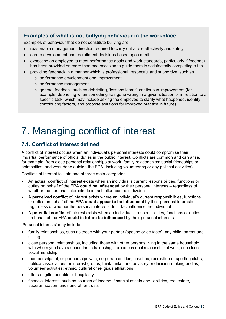#### <span id="page-12-0"></span>**Examples of what is not bullying behaviour in the workplace**

Examples of behaviour that do not constitute bullying are:

- reasonable management direction required to carry out a role effectively and safely
- career development and recruitment decisions based upon merit
- expecting an employee to meet performance goals and work standards, particularly if feedback has been provided on more than one occasion to guide them in satisfactorily completing a task
- providing feedback in a manner which is professional, respectful and supportive, such as
	- o performance development and improvement
		- o performance management
		- o general feedback such as debriefing, 'lessons learnt', continuous improvement (for example, debriefing when something has gone wrong in a given situation or in relation to a specific task, which may include asking the employee to clarify what happened, identify contributing factors, and propose solutions for improved practice in future).

### <span id="page-12-1"></span>7. Managing conflict of interest

#### <span id="page-12-2"></span>**7.1. Conflict of interest defined**

A conflict of interest occurs when an individual's personal interests could compromise their impartial performance of official duties in the public interest. Conflicts are common and can arise, for example, from close personal relationships at work; family relationships; social friendships or animosities; and work done outside the EPA (including volunteering or any political activities).

Conflicts of interest fall into one of three main categories:

- An **actual conflict** of interest exists when an individual's current responsibilities, functions or duties on behalf of the EPA **could be influenced** by their personal interests – regardless of whether the personal interests do in fact influence the individual.
- A **perceived conflict** of interest exists where an individual's current responsibilities, functions or duties on behalf of the EPA **could appear to be influenced** by their personal interests – regardless of whether the personal interests do in fact influence the individual.
- A **potential conflict** of interest exists when an individual's responsibilities, functions or duties on behalf of the EPA **could in future be influenced** by their personal interests.

'Personal interests' may include:

- family relationships, such as those with your partner (spouse or de facto), any child, parent and sibling
- close personal relationships, including those with other persons living in the same household with whom you have a dependant relationship, a close personal relationship at work, or a close social friendship
- memberships of, or partnerships with, corporate entities, charities, recreation or sporting clubs, political associations or interest groups, think tanks, and advisory or decision-making bodies; volunteer activities; ethnic, cultural or religious affiliations
- offers of gifts, benefits or hospitality
- financial interests such as sources of income, financial assets and liabilities, real estate, superannuation funds and other trusts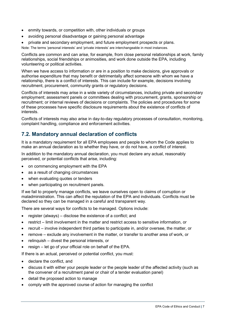- enmity towards, or competition with, other individuals or groups
- avoiding personal disadvantage or gaining personal advantage
- private and secondary employment, and future employment prospects or plans.

Note: The terms 'personal interests' and 'private interests' are interchangeable in most instances.

Conflicts are common and can arise, for example, from close personal relationships at work, family relationships, social friendships or animosities, and work done outside the EPA, including volunteering or political activities.

When we have access to information or are in a position to make decisions, give approvals or authorise expenditure that may benefit or detrimentally affect someone with whom we have a relationship, there is a conflict of interests. This can include for example, decisions involving recruitment, procurement, community grants or regulatory decisions.

Conflicts of interests may arise in a wide variety of circumstances, including private and secondary employment; assessment panels or committees dealing with procurement, grants, sponsorship or recruitment; or internal reviews of decisions or complaints. The policies and procedures for some of these processes have specific disclosure requirements about the existence of conflicts of interests.

Conflicts of interests may also arise in day-to-day regulatory processes of consultation, monitoring, complaint handling, compliance and enforcement activities.

#### <span id="page-13-0"></span>**7.2. Mandatory annual declaration of conflicts**

It is a mandatory requirement for all EPA employees and people to whom the Code applies to make an annual declaration as to whether they have, or do not have, a conflict of interest.

In addition to the mandatory annual declaration, you must declare any actual, reasonably perceived, or potential conflicts that arise, including:

- on commencing employment with the EPA
- as a result of changing circumstances
- when evaluating quotes or tenders
- when participating on recruitment panels.

If we fail to properly manage conflicts, we leave ourselves open to claims of corruption or maladministration. This can affect the reputation of the EPA and individuals. Conflicts must be declared so they can be managed in a careful and transparent way.

There are several ways for conflicts to be managed. Options include:

- register (always) disclose the existence of a conflict; and
- restrict limit involvement in the matter and restrict access to sensitive information, or
- recruit involve independent third parties to participate in, and/or oversee, the matter, or
- remove exclude any involvement in the matter, or transfer to another area of work, or
- relinquish divest the personal interests, or
- resign let go of your official role on behalf of the EPA.

If there is an actual, perceived or potential conflict, you must:

- declare the conflict, and
- discuss it with either your people leader or the people leader of the affected activity (such as the convener of a recruitment panel or chair of a tender evaluation panel)
- detail the proposed action to manage
- comply with the approved course of action for managing the conflict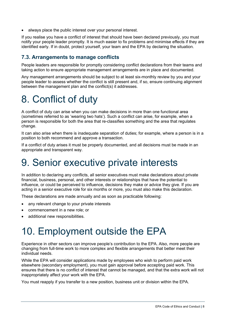always place the public interest over your personal interest.

If you realise you have a conflict of interest that should have been declared previously, you must notify your people leader promptly. It is much easier to fix problems and minimise effects if they are identified early. If in doubt, protect yourself, your team and the EPA by declaring the situation.

#### <span id="page-14-0"></span>**7.3. Arrangements to manage conflicts**

People leaders are responsible for promptly considering conflict declarations from their teams and taking action to ensure appropriate management arrangements are in place and documented.

Any management arrangements should be subject to at least six-monthly review by you and your people leader to assess whether the conflict is still present and, if so, ensure continuing alignment between the management plan and the conflict(s) it addresses.

### <span id="page-14-1"></span>8. Conflict of duty

A conflict of duty can arise when you can make decisions in more than one functional area (sometimes referred to as 'wearing two hats'). Such a conflict can arise, for example, when a person is responsible for both the area that re-classifies something and the area that regulates change.

It can also arise when there is inadequate separation of duties; for example, where a person is in a position to both recommend and approve a transaction.

If a conflict of duty arises it must be properly documented, and all decisions must be made in an appropriate and transparent way.

### <span id="page-14-2"></span>9. Senior executive private interests

In addition to declaring any conflicts, all senior executives must make declarations about private financial, business, personal, and other interests or relationships that have the potential to influence, or could be perceived to influence, decisions they make or advice they give. If you are acting in a senior executive role for six months or more, you must also make this declaration.

These declarations are made annually and as soon as practicable following:

- any relevant change to your private interests
- commencement in a new role; or
- additional new responsibilities.

### <span id="page-14-3"></span>10. Employment outside the EPA

Experience in other sectors can improve people's contribution to the EPA. Also, more people are changing from full-time work to more complex and flexible arrangements that better meet their individual needs.

While the EPA will consider applications made by employees who wish to perform paid work elsewhere (secondary employment), you must gain approval before accepting paid work. This ensures that there is no conflict of interest that cannot be managed, and that the extra work will not inappropriately affect your work with the EPA.

You must reapply if you transfer to a new position, business unit or division within the EPA.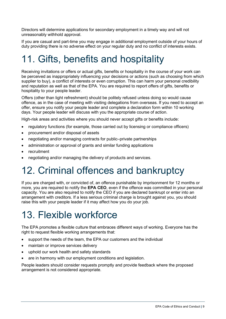Directors will determine applications for secondary employment in a timely way and will not unreasonably withhold approval.

If you are casual and part-time you may engage in additional employment outside of your hours of duty providing there is no adverse effect on your regular duty and no conflict of interests exists.

### <span id="page-15-0"></span>11. Gifts, benefits and hospitality

Receiving invitations or offers or actual gifts, benefits or hospitality in the course of your work can be perceived as inappropriately influencing your decisions or actions (such as choosing from which supplier to buy), a conflict of interests or even corruption. This can harm your personal credibility and reputation as well as that of the EPA. You are required to report offers of gifts, benefits or hospitality to your people leader.

Offers (other than light refreshment) should be politely refused unless doing so would cause offence, as in the case of meeting with visiting delegations from overseas. If you need to accept an offer, ensure you notify your people leader and complete a declaration form within 10 working days. Your people leader will discuss with you the appropriate course of action.

High-risk areas and activities where you should never accept gifts or benefits include:

- regulatory functions (for example, those carried out by licensing or compliance officers)
- procurement and/or disposal of assets
- negotiating and/or managing contracts for public–private partnerships
- administration or approval of grants and similar funding applications
- **recruitment**
- negotiating and/or managing the delivery of products and services.

### <span id="page-15-1"></span>12. Criminal offences and bankruptcy

If you are charged with, or convicted of, an offence punishable by imprisonment for 12 months or more, you are required to notify the **EPA CEO**, even if the offence was committed in your personal capacity. You are also required to notify the CEO if you are declared bankrupt or enter into an arrangement with creditors. If a less serious criminal charge is brought against you, you should raise this with your people leader if it may affect how you do your job.

### <span id="page-15-2"></span>13. Flexible workforce

The EPA promotes a flexible culture that embraces different ways of working. Everyone has the right to request flexible working arrangements that:

- support the needs of the team, the EPA our customers and the individual
- maintain or improve services delivery
- uphold our work health and safety standards
- are in harmony with our employment conditions and legislation.

People leaders should consider requests promptly and provide feedback where the proposed arrangement is not considered appropriate.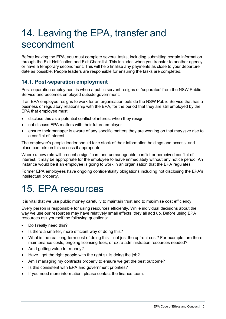### <span id="page-16-0"></span>14. Leaving the EPA, transfer and secondment

Before leaving the EPA, you must complete several tasks, including submitting certain information through the Exit Notification and Exit Checklist. This includes when you transfer to another agency or have a temporary secondment. This will help finalise any payments as close to your departure date as possible. People leaders are responsible for ensuring the tasks are completed.

#### <span id="page-16-1"></span>**14.1. Post-separation employment**

Post-separation employment is when a public servant resigns or 'separates' from the NSW Public Service and becomes employed outside government.

If an EPA employee resigns to work for an organisation outside the NSW Public Service that has a business or regulatory relationship with the EPA, for the period that they are still employed by the EPA that employee must:

- disclose this as a potential conflict of interest when they resign
- not discuss EPA matters with their future employer
- ensure their manager is aware of any specific matters they are working on that may give rise to a conflict of interest.

The employee's people leader should take stock of their information holdings and access, and place controls on this access if appropriate.

Where a new role will present a significant and unmanageable conflict or perceived conflict of interest, it may be appropriate for the employee to leave immediately without any notice period. An instance would be if an employee is going to work in an organisation that the EPA regulates.

Former EPA employees have ongoing confidentiality obligations including not disclosing the EPA's intellectual property.

### <span id="page-16-2"></span>15. EPA resources

It is vital that we use public money carefully to maintain trust and to maximise cost efficiency.

Every person is responsible for using resources efficiently. While individual decisions about the way we use our resources may have relatively small effects, they all add up. Before using EPA resources ask yourself the following questions:

- Do I really need this?
- Is there a smarter, more efficient way of doing this?
- What is the real long-term cost of doing this not just the upfront cost? For example, are there maintenance costs, ongoing licensing fees, or extra administration resources needed?
- Am I getting value for money?
- Have I got the right people with the right skills doing the job?
- Am I managing my contracts properly to ensure we get the best outcome?
- Is this consistent with EPA and government priorities?
- If you need more information, please contact the finance team.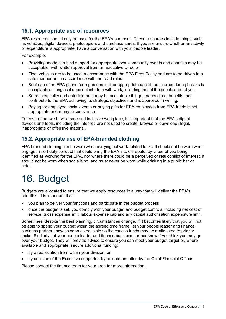#### <span id="page-17-0"></span>**15.1. Appropriate use of resources**

EPA resources should only be used for the EPA's purposes. These resources include things such as vehicles, digital devices, photocopiers and purchase cards. If you are unsure whether an activity or expenditure is appropriate, have a conversation with your people leader.

For example:

- Providing modest in-kind support for appropriate local community events and charities may be acceptable, with written approval from an Executive Director.
- Fleet vehicles are to be used in accordance with the EPA Fleet Policy and are to be driven in a safe manner and in accordance with the road rules.
- Brief use of an EPA phone for a personal call or appropriate use of the internet during breaks is acceptable as long as it does not interfere with work, including that of the people around you.
- Some hospitality and entertainment may be acceptable if it generates direct benefits that contribute to the EPA achieving its strategic objectives and is approved in writing.
- Paying for employee social events or buying gifts for EPA employees from EPA funds is not appropriate under any circumstance.

To ensure that we have a safe and inclusive workplace, it is important that the EPA's digital devices and tools, including the internet, are not used to create, browse or download illegal, inappropriate or offensive material.

#### <span id="page-17-1"></span>**15.2. Appropriate use of EPA-branded clothing**

EPA-branded clothing can be worn when carrying out work-related tasks. It should not be worn when engaged in off-duty conduct that could bring the EPA into disrepute, by virtue of you being identified as working for the EPA, nor where there could be a perceived or real conflict of interest. It should not be worn when socialising, and must never be worn while drinking in a public bar or hotel.

### <span id="page-17-2"></span>16. Budget

Budgets are allocated to ensure that we apply resources in a way that will deliver the EPA's priorities. It is important that:

- you plan to deliver your functions and participate in the budget process
- once the budget is set, you comply with your budget and budget controls, including net cost of service, gross expense limit, labour expense cap and any capital authorisation expenditure limit.

Sometimes, despite the best planning, circumstances change. If it becomes likely that you will not be able to spend your budget within the agreed time frame, let your people leader and finance business partner know as soon as possible so the excess funds may be reallocated to priority tasks. Similarly, let your people leader and finance business partner know if you think you may go over your budget. They will provide advice to ensure you can meet your budget target or, where available and appropriate, secure additional funding:

- by a reallocation from within your division, or
- by decision of the Executive supported by recommendation by the Chief Financial Officer.

Please contact the finance team for your area for more information.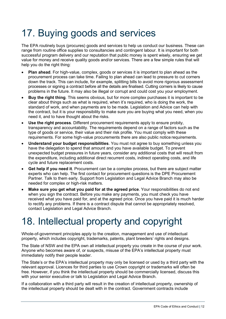### <span id="page-18-0"></span>17. Buying goods and services

The EPA routinely buys (procures) goods and services to help us conduct our business. These can range from routine office supplies to consultancies and contingent labour. It is important for both successful program delivery and our reputation that public money is spent wisely, ensuring we get value for money and receive quality goods and/or services. There are a few simple rules that will help you do the right thing:

- **Plan ahead**. For high-value, complex, goods or services it is important to plan ahead as the procurement process can take time. Failing to plan ahead can lead to pressure to cut corners down the track. This can include, for example, splitting bills to avoid more rigorous assessment processes or signing a contract before all the details are finalised. Cutting corners is likely to cause problems in the future. It may also be illegal or corrupt and could cost you your employment.
- **Buy the right thing**. This seems obvious, but for more complex purchases it is important to be clear about things such as what is required, when it's required, who is doing the work, the standard of work, and when payments are to be made. Legislation and Advice can help with the contract, but it is your responsibility to make sure you are buying what you need, when you need it, and to have thought about the risks.
- **Use the right process**. Different procurement requirements apply to ensure probity, transparency and accountability. The requirements depend on a range of factors such as the type of goods or service, their value and their risk profile. You must comply with these requirements. For some high-value procurements there are also public notice requirements.
- **Understand your budget responsibilities**. You must not agree to buy something unless you have the delegation to spend that amount and you have available budget. To prevent unexpected budget pressures in future years, consider any additional costs that will result from the expenditure, including additional direct recurrent costs, indirect operating costs, and life cycle and future replacement costs.
- **Get help if you need it**. Procurement can be a complex process, but there are subject matter experts who can help. The first contact for procurement questions is the DPE Procurement Partner. Talk to them early. Support from Legislation and Legal Advice Branch may also be needed for complex or high-risk matters.
- **Make sure you get what you paid for at the agreed price**. Your responsibilities do not end when you sign the contract. Before you make any payments, you must check you have received what you have paid for, and at the agreed price. Once you have paid it is much harder to rectify any problems. If there is a contract dispute that cannot be appropriately resolved, contact Legislation and Legal Advice Branch.

### <span id="page-18-1"></span>18. Intellectual property and copyright

Whole-of-government principles apply to the creation, management and use of intellectual property, which includes copyright, trademarks, patents, plant breeders' rights and designs.

The State of NSW and the EPA own all intellectual property you create in the course of your work. Anyone who becomes aware of, or suspects, misuse of the EPA's intellectual property must immediately notify their people leader.

The State's or the EPA's intellectual property may only be licensed or used by a third party with the relevant approval. Licences for third parties to use Crown copyright or trademarks will often be free. However, if you think the intellectual property should be commercially licensed, discuss this with your senior executive or talk to Legislation and Legal Advice Branch.

If a collaboration with a third party will result in the creation of intellectual property, ownership of the intellectual property should be dealt with in the contract. Government contracts include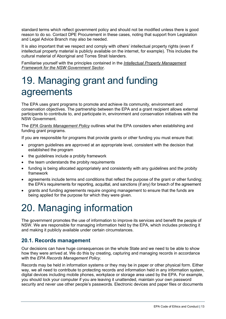standard terms which reflect government policy and should not be modified unless there is good reason to do so. Contact DPE Procurement in these cases, noting that support from Legislation and Legal Advice Branch may also be needed.

It is also important that we respect and comply with others' intellectual property rights (even if intellectual property material is publicly available on the internet, for example). This includes the cultural material of Aboriginal and Torres Strait Islanders.

Familiarise yourself with the principles contained in the *[Intellectual Property Management](https://arp.nsw.gov.au/c2005-06-intellectual-property-management-framework-nsw-public-sector)  [Framework for the NSW Government Sector](https://arp.nsw.gov.au/c2005-06-intellectual-property-management-framework-nsw-public-sector)*.

### <span id="page-19-0"></span>19. Managing grant and funding agreements

The EPA uses grant programs to promote and achieve its community, environment and conservation objectives. The partnership between the EPA and a grant recipient allows external participants to contribute to, and participate in, environment and conservation initiatives with the NSW Government.

The *[EPA Grants Management Policy](https://www.epa.nsw.gov.au/-/media/epa/corporate-site/resources/epa/epagrantspolicy.pdf?la=en&hash=AAB100F249C263E1C6ADA0E130E406149373C03B)* outlines what the EPA considers when establishing and funding grant programs.

If you are responsible for programs that provide grants or other funding you must ensure that:

- program guidelines are approved at an appropriate level, consistent with the decision that established the program
- the guidelines include a probity framework
- the team understands the probity requirements
- funding is being allocated appropriately and consistently with any guidelines and the probity framework
- agreements include terms and conditions that reflect the purpose of the grant or other funding; the EPA's requirements for reporting, acquittal, and sanctions (if any) for breach of the agreement
- grants and funding agreements require ongoing management to ensure that the funds are being applied for the purpose for which they were given.

### <span id="page-19-1"></span>20. Managing information

The government promotes the use of information to improve its services and benefit the people of NSW. We are responsible for managing information held by the EPA, which includes protecting it and making it publicly available under certain circumstances.

#### <span id="page-19-2"></span>**20.1. Records management**

Our decisions can have huge consequences on the whole State and we need to be able to show how they were arrived at. We do this by creating, capturing and managing records in accordance with the *EPA Records Management Policy*.

Records may be held in information systems or they may be in paper or other physical form. Either way, we all need to contribute to protecting records and information held in any information system, digital devices including mobile phones, workplace or storage area used by the EPA. For example, you should lock your computer if you are leaving it unattended, maintain your own password security and never use other people's passwords. Electronic devices and paper files or documents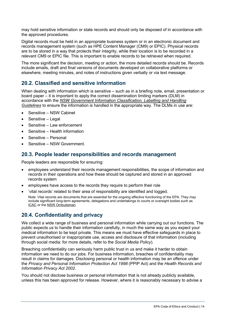may hold sensitive information or state records and should only be disposed of in accordance with the approved procedures.

Digital records must be held in an appropriate business system or in an electronic document and records management system (such as HPE Content Manager (CM9) or EPIC). Physical records are to be stored in a way that protects their integrity, while their location is to be recorded in a relevant CM9 or EPIC file. This is important to enable records to be retrieved when required.

The more significant the decision, meeting or action, the more detailed records should be. Records include emails, draft and final versions of documents developed on collaborative platforms or elsewhere, meeting minutes, and notes of instructions given verbally or via text message.

#### <span id="page-20-0"></span>**20.2. Classified and sensitive information**

When dealing with information which is sensitive – such as in a briefing note, email, presentation or board paper – it is important to apply the correct dissemination limiting markers (DLM) in accordance with the *[NSW Government Information Classification, Labelling and Handling](https://www.digital.nsw.gov.au/sites/default/files/2021-06/NSW%20Info%20Classification%20Labelling%20and%20Handling%20Guidelines%202020%20V2.1.pdf)  [Guidelines](https://www.digital.nsw.gov.au/sites/default/files/2021-06/NSW%20Info%20Classification%20Labelling%20and%20Handling%20Guidelines%202020%20V2.1.pdf)* to ensure the information is handled in the appropriate way. The DLMs in use are:

- Sensitive NSW Cabinet
- Sensitive Legal
- Sensitive Law enforcement
- Sensitive Health information
- Sensitive Personal
- Sensitive NSW Government.

#### <span id="page-20-1"></span>**20.3. People leader responsibilities and records management**

People leaders are responsible for ensuring:

- employees understand their records management responsibilities, the scope of information and records in their operations and how these should be captured and stored in an approved records system
- employees have access to the records they require to perform their role
- 'vital records' related to their area of responsibility are identified and logged. Note: Vital records are documents that are essential for the ongoing effective functioning of the EPA. They may include significant long-term agreements, delegations and undertakings to courts or oversight bodies such as [ICAC](https://www.icac.nsw.gov.au/) or the [NSW Ombudsman.](https://www.ombo.nsw.gov.au/)

#### <span id="page-20-2"></span>**20.4. Confidentiality and privacy**

We collect a wide range of business and personal information while carrying out our functions. The public expects us to handle their information carefully, in much the same way as you expect your medical information to be kept private. This means we must have effective safeguards in place to prevent unauthorised or inappropriate use, access and disclosure of that information (including through social media: for more details, refer to the *Social Media Policy*).

Breaching confidentiality can seriously harm public trust in us and make it harder to obtain information we need to do our jobs. For business information, breaches of confidentiality may result in claims for damages. Disclosing personal or health information may be an offence under the *Privacy and Personal Information Protection Act 1998* (PPIP Act) and the *Health Records and Information Privacy Act 2002*.

You should not disclose business or personal information that is not already publicly available, unless this has been approved for release. However, where it is reasonably necessary to advise a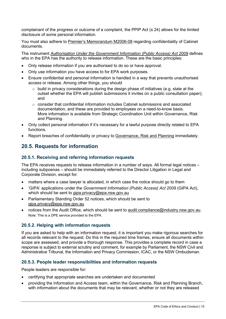complainant of the progress or outcome of a complaint, the PPIP Act (s 24) allows for the limited disclosure of some personal information.

You must also adhere to [Premier's Memorandum M2006-08](https://arp.nsw.gov.au/m2006-08-maintaining-confidentiality-cabinet-documents-and-other-cabinet-conventions) regarding confidentiality of Cabinet documents.

The instrument *[Authorisation Under the Government Information \(Public Access\) Act](https://environmentnswgov.sharepoint.com/sites/INSITE-EPA/Intranet%20Library/Documents/Authorisation%20to%20exercise%20GIPA%20Act%20functions%207%20Sep%202017.pdf#search=authorisation%20to%20exercise%20gipa) 2009* defines who in the EPA has the authority to release information. These are the basic principles:

- Only release information if you are authorised to do so or have approval.
- Only use information you have access to for EPA work purposes.
- Ensure confidential and personal information is handled in a way that prevents unauthorised access or release. Among other things, you should
	- $\circ$  build in privacy considerations during the design phase of initiatives (e.g. state at the outset whether the EPA will publish submissions it invites on a public consultation paper); and
	- $\circ$  consider that confidential information includes Cabinet submissions and associated documentation, and these are provided to employees on a need-to-know basis. More information is available from Strategic Coordination Unit within Governance, Risk and Planning.
- Only collect personal information if it's necessary for a lawful purpose directly related to EPA functions.
- Report breaches of confidentiality or privacy to [Governance, Risk and Planning](mailto:GovernanceRisk.planning@epa.nsw.gov.au) immediately.

#### <span id="page-21-0"></span>**20.5. Requests for information**

#### **20.5.1. Receiving and referring information requests**

The EPA receives requests to release information in a number of ways. All formal legal notices – including subpoenas – should be immediately referred to the Director Litigation in Legal and Corporate Division, except for:

- matters where a case lawyer is allocated, in which case the notice should go to them
- 'GIPA' applications under the *Government Information (Public Access) Act 2009* (GIPA Act), which should be sent to [gipa.privacy@epa.nsw.gov.au](mailto:gipa.privacy@epa.nsw.gov.au)
- Parliamentary Standing Order 52 notices, which should be sent to [gipa.privacy@epa.nsw.gov.au](mailto:gipa.privacy@epa.nsw.gov.au)
- notices from the Audit Office, which should be sent to [audit.compliance@industry.nsw.gov.au.](mailto:audit.compliance@industry.nsw.gov.au) Note: This is a DPE service provided to the EPA.

#### **20.5.2. Helping with information requests**

If you are asked to help with an information request, it is important you make rigorous searches for all records relevant to the request. Do this in the required time frames, ensure all documents within scope are assessed, and provide a thorough response. This provides a complete record in case a response is subject to external scrutiny and comment, for example by Parliament, the NSW Civil and Administrative Tribunal, the Information and Privacy Commission, ICAC, or the NSW Ombudsman.

#### **20.5.3. People leader responsibilities and information requests**

People leaders are responsible for:

- certifying that appropriate searches are undertaken and documented
- providing the Information and Access team, within the Governance, Risk and Planning Branch, with information about the documents that may be relevant, whether or not they are released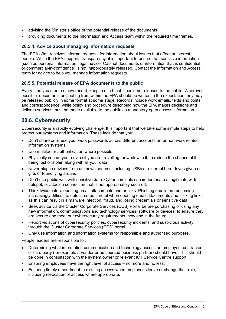- advising the Minister's office of the potential release of the documents
- providing documents to the Information and Access team within the required time frames.

#### **20.5.4. Advice about managing information requests**

The EPA often receives informal requests for information about issues that affect or interest people. While the EPA supports transparency, it is important to ensure that sensitive information (such as personal information, legal advice, Cabinet documents or information that is confidential or commercial-in-confidence) is not inappropriately released. Contact the Information and Access team for [advice to help you manage information requests.](https://intranet.dpie.nsw.gov.au/ethics-conduct/managing-information/information-access)

#### **20.5.5. Potential release of EPA documents to the public**

Every time you create a new record, keep in mind that it could be released to the public. Wherever possible, documents originating from within the EPA should be written in the expectation they may be released publicly in some format at some stage. Records include work emails, texts and posts, and correspondence, while policy and procedure describing how the EPA makes decisions and delivers services must be made available to the public as mandatory open access information.

#### <span id="page-22-0"></span>**20.6. Cybersecurity**

Cybersecurity is a rapidly evolving challenge. It is important that we take some simple steps to help protect our systems and information. These include that you:

- Don't share or re-use your work passwords across different accounts or for non-work related information systems.
- Use multifactor authentication where possible.
- Physically secure your device if you are travelling for work with it, to reduce the chance of it being lost or stolen along with all your data.
- Never plug in devices from unknown sources, including USBs or external hard drives given as gifts or found lying around.
- Don't use public wi-fi with sensitive data. Cyber criminals can impersonate a legitimate wi-fi hotspot, or attack a connection that is not appropriately secured.
- Think twice before opening email attachments and or links. Phishing emails are becoming increasingly difficult to detect, so be careful when opening email attachments and clicking links as this can result in a malware infection, fraud, and losing credentials or sensitive data.
- Seek advice via the Cluster Corporate Services (CCS) Portal before purchasing or using any new information, communications and technology services, software or devices, to ensure they are secure and meet our cybersecurity requirements, now and in the future.
- Report violations of cybersecurity policies, cybersecurity incidents, and suspicious activity through the Cluster Corporate Services (CCS) portal.
- Only use information and information systems for responsible and authorised purposes.

People leaders are responsible for:

- Determining what information communication and technology access an employee, contractor or third party (for example a vendor or outsourced business partner) should have. This should be done in consultation with the system owner or relevant ICT Service Centre support.
- Ensuring employees have the right level of access no more and no less.
- Ensuring timely amendment to existing access when employees leave or change their role, including revocation of access where appropriate.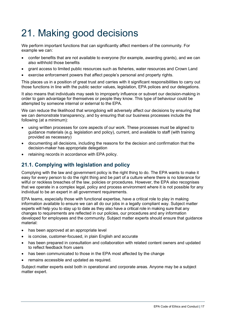### <span id="page-23-0"></span>21. Making good decisions

We perform important functions that can significantly affect members of the community. For example we can:

- confer benefits that are not available to everyone (for example, awarding grants), and we can also withhold those benefits
- grant access to limited public resources such as fisheries, water resources and Crown Land
- exercise enforcement powers that affect people's personal and property rights.

This places us in a position of great trust and carries with it significant responsibilities to carry out those functions in line with the public sector values, legislation, EPA polices and our delegations.

It also means that individuals may seek to improperly influence or subvert our decision-making in order to gain advantage for themselves or people they know. This type of behaviour could be attempted by someone internal or external to the EPA.

We can reduce the likelihood that wrongdoing will adversely affect our decisions by ensuring that we can demonstrate transparency, and by ensuring that our business processes include the following (at a minimum):

- using written processes for core aspects of our work. These processes must be aligned to guidance materials (e.g. legislation and policy), current, and available to staff (with training provided as necessary)
- documenting all decisions, including the reasons for the decision and confirmation that the decision-maker has appropriate delegation
- retaining records in accordance with EPA policy.

#### <span id="page-23-1"></span>**21.1. Complying with legislation and policy**

Complying with the law and government policy is the right thing to do. The EPA wants to make it easy for every person to do the right thing and be part of a culture where there is no tolerance for wilful or reckless breaches of the law, policies or procedures. However, the EPA also recognises that we operate in a complex legal, policy and process environment where it is not possible for any individual to be an expert in all government requirements.

EPA teams, especially those with functional expertise, have a critical role to play in making information available to ensure we can all do our jobs in a legally compliant way. Subject matter experts will help you to stay up to date as they also have a critical role in making sure that any changes to requirements are reflected in our policies, our procedures and any information developed for employees and the community. Subject matter experts should ensure that guidance material:

- has been approved at an appropriate level
- is concise, customer-focused, in plain English and accurate
- has been prepared in consultation and collaboration with related content owners and updated to reflect feedback from users
- has been communicated to those in the EPA most affected by the change
- remains accessible and updated as required.

Subject matter experts exist both in operational and corporate areas. Anyone may be a subject matter expert.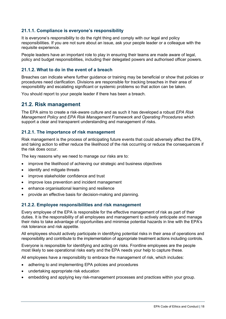#### **21.1.1. Compliance is everyone's responsibility**

It is everyone's responsibility to do the right thing and comply with our legal and policy responsibilities. If you are not sure about an issue, ask your people leader or a colleague with the requisite experience.

People leaders have an important role to play in ensuring their teams are made aware of legal, policy and budget responsibilities, including their delegated powers and authorised officer powers.

#### **21.1.2. What to do in the event of a breach**

Breaches can indicate where further guidance or training may be beneficial or show that policies or procedures need clarification. Divisions are responsible for tracking breaches in their area of responsibility and escalating significant or systemic problems so that action can be taken.

You should report to your people leader if there has been a breach.

#### <span id="page-24-0"></span>**21.2. Risk management**

The EPA aims to create a risk-aware culture and as such it has developed a robust *EPA Risk Management Policy* and *EPA Risk Management Framework and Operating Procedures* which support a clear and transparent understanding and management of risks.

#### **21.2.1. The importance of risk management**

Risk management is the process of anticipating future events that could adversely affect the EPA, and taking action to either reduce the likelihood of the risk occurring or reduce the consequences if the risk does occur.

The key reasons why we need to manage our risks are to:

- improve the likelihood of achieving our strategic and business objectives
- identify and mitigate threats
- improve stakeholder confidence and trust
- improve loss prevention and incident management
- enhance organisational learning and resilience
- provide an effective basis for decision-making and planning.

#### **21.2.2. Employee responsibilities and risk management**

Every employee of the EPA is responsible for the effective management of risk as part of their duties. It is the responsibility of all employees and management to actively anticipate and manage their risks to take advantage of opportunities and minimise potential hazards in line with the EPA's risk tolerance and risk appetite.

All employees should actively participate in identifying potential risks in their area of operations and responsibility and contribute to the implementation of appropriate treatment actions including controls.

Everyone is responsible for identifying and acting on risks. Frontline employees are the people most likely to see operational risks early and the EPA needs your help to capture these.

All employees have a responsibility to embrace the management of risk, which includes:

- adhering to and implementing EPA policies and procedures
- undertaking appropriate risk education
- embedding and applying key risk-management processes and practices within your group.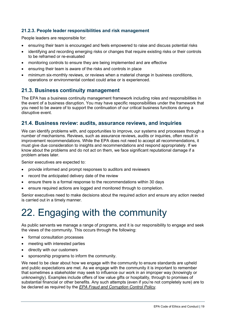#### **21.2.3. People leader responsibilities and risk management**

People leaders are responsible for:

- ensuring their team is encouraged and feels empowered to raise and discuss potential risks
- identifying and recording emerging risks or changes that require existing risks or their controls to be reframed or re-evaluated
- monitoring controls to ensure they are being implemented and are effective
- ensuring their team is aware of the risks and controls in place
- minimum six-monthly reviews, or reviews when a material change in business conditions, operations or environmental context could arise or is experienced.

#### <span id="page-25-0"></span>**21.3. Business continuity management**

The EPA has a business continuity management framework including roles and responsibilities in the event of a business disruption. You may have specific responsibilities under the framework that you need to be aware of to support the continuation of our critical business functions during a disruptive event.

#### <span id="page-25-1"></span>**21.4. Business review: audits, assurance reviews, and inquiries**

We can identify problems with, and opportunities to improve, our systems and processes through a number of mechanisms. Reviews, such as assurance reviews, audits or inquiries, often result in improvement recommendations. While the EPA does not need to accept all recommendations, it must give due consideration to insights and recommendations and respond appropriately. If we know about the problems and do not act on them, we face significant reputational damage if a problem arises later.

Senior executives are expected to:

- provide informed and prompt responses to auditors and reviewers
- record the anticipated delivery date of the review
- ensure there is a formal response to the recommendations within 30 days
- ensure required actions are logged and monitored through to completion.

Senior executives need to make decisions about the required action and ensure any action needed is carried out in a timely manner.

### <span id="page-25-2"></span>22. Engaging with the community

As public servants we manage a range of programs, and it is our responsibility to engage and seek the views of the community. This occurs through the following:

- formal consultation processes
- meeting with interested parties
- directly with our customers
- sponsorship programs to inform the community.

We need to be clear about how we engage with the community to ensure standards are upheld and public expectations are met. As we engage with the community it is important to remember that sometimes a stakeholder may seek to influence our work in an improper way (knowingly or unknowingly). Examples include offers of low value gifts or hospitality, through to promises of substantial financial or other benefits. Any such attempts (even if you're not completely sure) are to be declared as required by the *EPA [Fraud and Corruption Control Policy](https://www.epa.nsw.gov.au/-/media/epa/corporate-site/resources/legislation/18p1216-fraud-and-corruption-control-policy.pdf?la=en&hash=A0F55476607F8EAEAD62A742B22776CD03B91766)*.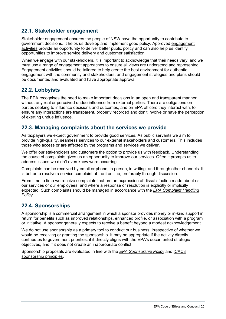#### <span id="page-26-0"></span>**22.1. Stakeholder engagement**

Stakeholder engagement ensures the people of NSW have the opportunity to contribute to government decisions. It helps us develop and implement good policy. Approved [engagement](https://intranet.dpie.nsw.gov.au/your-services/communications-and-engagement/engaging-with-stakeholders)  [activities](https://intranet.dpie.nsw.gov.au/your-services/communications-and-engagement/engaging-with-stakeholders) provide an opportunity to deliver better public policy and can also help us identify opportunities to improve service delivery and customer satisfaction.

When we engage with our stakeholders, it is important to acknowledge that their needs vary, and we must use a range of engagement approaches to ensure all views are understood and represented. Engagement activities should be tailored to help create the best environment for authentic engagement with the community and stakeholders, and engagement strategies and plans should be documented and evaluated and have appropriate approval.

#### <span id="page-26-1"></span>**22.2. Lobbyists**

The EPA recognises the need to make important decisions in an open and transparent manner, without any real or perceived undue influence from external parties. There are obligations on parties seeking to influence decisions and outcomes, and on EPA officers they interact with, to ensure any interactions are transparent, properly recorded and don't involve or have the perception of exerting undue influence.

#### <span id="page-26-2"></span>**22.3. Managing complaints about the services we provide**

As taxpayers we expect government to provide good services. As public servants we aim to provide high-quality, seamless services to our external stakeholders and customers. This includes those who access or are affected by the programs and services we deliver.

We offer our stakeholders and customers the option to provide us with feedback. Understanding the cause of complaints gives us an opportunity to improve our services. Often it prompts us to address issues we didn't even know were occurring.

Complaints can be received by email or phone, in person, in writing, and through other channels. It is better to resolve a service complaint at the frontline, preferably through discussion.

From time to time we receive complaints that are an expression of dissatisfaction made about us, our services or our employees, and where a response or resolution is explicitly or implicitly expected. Such complaints should be managed in accordance with the *EPA [Complaint Handling](https://www.environment.nsw.gov.au/resources/epa/EPA-Complaint-Handling-Policy.pdf)  [Policy](https://www.environment.nsw.gov.au/resources/epa/EPA-Complaint-Handling-Policy.pdf)*.

#### <span id="page-26-3"></span>**22.4. Sponsorships**

A sponsorship is a commercial arrangement in which a sponsor provides money or in-kind support in return for benefits such as improved relationships, enhanced profile, or association with a program or initiative. A sponsor generally expects to receive a benefit beyond a modest acknowledgement.

We do not use sponsorship as a primary tool to conduct our business, irrespective of whether we would be receiving or granting the sponsorship. It may be appropriate if the activity directly contributes to government priorities, if it directly aligns with the EPA's documented strategic objectives, and if it does not create an inappropriate conflict.

Sponsorship proposals are evaluated in line with the *EPA [Sponsorship Policy](https://www.epa.nsw.gov.au/-/media/epa/corporate-site/resources/epa/138947epasponsorpolicy.pdf?la=en&hash=C845C9122D930455AFC77241DC124BB46296BA12)* and [ICAC's](https://www.icac.nsw.gov.au/prevention/corruption-prevention-advice-topics/sponsorship)  [sponsorship principles.](https://www.icac.nsw.gov.au/prevention/corruption-prevention-advice-topics/sponsorship)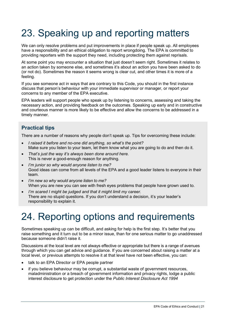### <span id="page-27-0"></span>23. Speaking up and reporting matters

We can only resolve problems and put improvements in place if people speak up. All employees have a responsibility and an ethical obligation to report wrongdoing. The EPA is committed to providing reporters with the support they need, including protecting them against reprisals.

At some point you may encounter a situation that just doesn't seem right. Sometimes it relates to an action taken by someone else, and sometimes it's about an action you have been asked to do (or not do). Sometimes the reason it seems wrong is clear cut, and other times it is more of a feeling.

If you see someone act in ways that are contrary to this Code, you should in the first instance discuss that person's behaviour with your immediate supervisor or manager, or report your concerns to any member of the EPA executive.

EPA leaders will support people who speak up by listening to concerns, assessing and taking the necessary action, and providing feedback on the outcomes. Speaking up early and in constructive and courteous manner is more likely to be effective and allow the concerns to be addressed in a timely manner.

#### <span id="page-27-1"></span>**Practical tips**

There are a number of reasons why people don't speak up. Tips for overcoming these include:

- *I raised it before and no-one did anything, so what's the point?* Make sure you listen to your team, let them know what you are going to do and then do it.
- *That's just the way it's always been done around here.* This is never a good-enough reason for anything.
- *I'm junior so why would anyone listen to me?* Good ideas can come from all levels of the EPA and a good leader listens to everyone in their team.
- *I'm new so why would anyone listen to me?* When you are new you can see with fresh eyes problems that people have grown used to.
- *I'm scared I might be judged and that it might limit my career.* There are no stupid questions. If you don't understand a decision, it's your leader's responsibility to explain it.

### <span id="page-27-2"></span>24. Reporting options and requirements

Sometimes speaking up can be difficult, and asking for help is the first step. It's better that you raise something and it turn out to be a minor issue, than for one serious matter to go unaddressed because someone didn't raise it.

Discussions at the local level are not always effective or appropriate but there is a range of avenues through which you can get advice and guidance. If you are concerned about raising a matter at a local level, or previous attempts to resolve it at that level have not been effective, you can:

- talk to an EPA Director or EPA people partner
- if you believe behaviour may be corrupt, a substantial waste of government resources, maladministration or a breach of government information and privacy rights, lodge a public interest disclosure to get protection under the *Public Interest Disclosure Act 1994*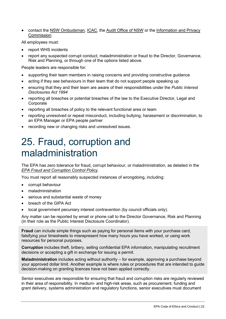• contact the NSW [Ombudsman,](https://www.ombo.nsw.gov.au/__data/assets/pdf_file/0005/46580/Applying-the-Commitments-to-effective-complaint-handling-guidance-for-agencies.pdf) [ICAC,](https://www.icac.nsw.gov.au/prevention/corruption-prevention-advice-topics/sponsorship) the Audit [Office](https://www.audit.nsw.gov.au/) of NSW or the [Information and Privacy](https://www.ipc.nsw.gov.au/)  [Commission.](https://www.ipc.nsw.gov.au/)

All employees must:

- report WHS incidents
- report any suspected corrupt conduct, maladministration or fraud to the Director, Governance, Risk and Planning, or through one of the options listed above.

People leaders are responsible for:

- supporting their team members in raising concerns and providing constructive guidance
- acting if they see behaviours in their team that do not support people speaking up
- ensuring that they and their team are aware of their responsibilities under the *Public Interest Disclosures Act 1994*
- reporting all breaches or potential breaches of the law to the Executive Director, Legal and Corporate
- reporting all breaches of policy to the relevant functional area or team
- reporting unresolved or repeat misconduct, including bullying, harassment or discrimination, to an EPA Manager or EPA people partner
- recording new or changing risks and unresolved issues.

### <span id="page-28-0"></span>25. Fraud, corruption and maladministration

The EPA has zero tolerance for fraud, corrupt behaviour, or maladministration, as detailed in the *[EPA Fraud and Corruption Control Policy](https://www.epa.nsw.gov.au/-/media/epa/corporate-site/resources/legislation/18p1216-fraud-and-corruption-control-policy.pdf?la=en&hash=A0F55476607F8EAEAD62A742B22776CD03B91766)*.

You must report all reasonably suspected instances of wrongdoing, including:

- corrupt behaviour
- maladministration
- serious and substantial waste of money
- breach of the GIPA Act
- local government pecuniary interest contravention (by council officials only).

Any matter can be reported by email or phone call to the Director Governance, Risk and Planning (in their role as the Public Interest Disclosure Coordinator).

**Fraud** can include simple things such as paying for personal items with your purchase card, falsifying your timesheets to misrepresent how many hours you have worked, or using work resources for personal purposes.

**Corruption** includes theft, bribery, selling confidential EPA information, manipulating recruitment decisions or accepting a gift in exchange for issuing a permit.

**Maladministration** includes acting without authority – for example, approving a purchase beyond your approved dollar limit. Another example is where rules or procedures that are intended to guide decision-making on granting licences have not been applied correctly.

Senior executives are responsible for ensuring that fraud and corruption risks are regularly reviewed in their area of responsibility. In medium- and high-risk areas, such as procurement, funding and grant delivery, systems administration and regulatory functions, senior executives must document